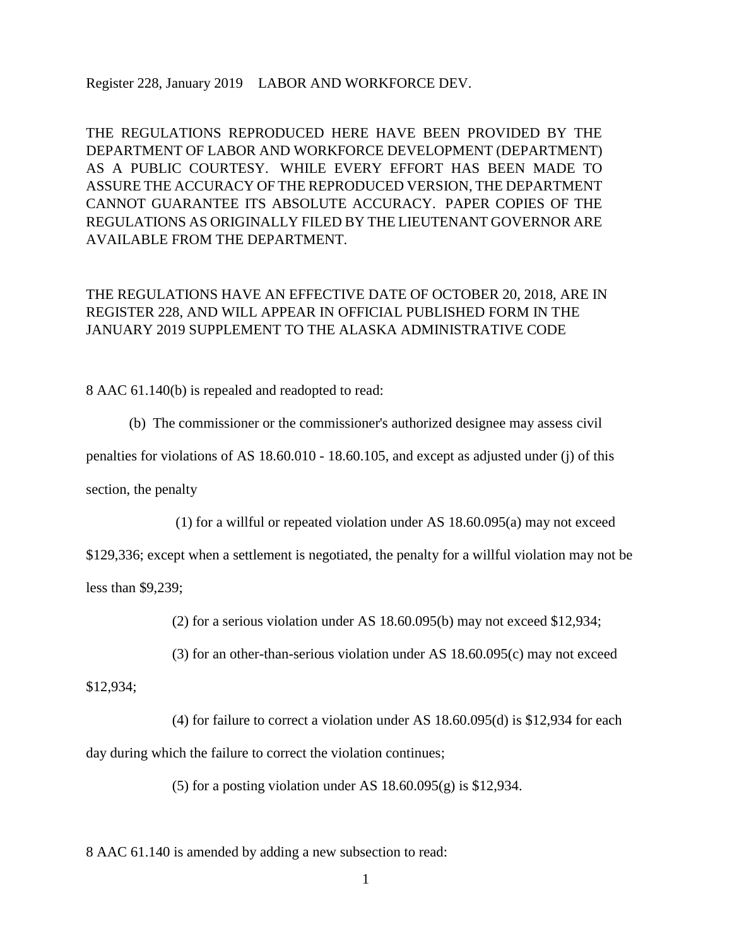Register 228, January 2019 LABOR AND WORKFORCE DEV.

THE REGULATIONS REPRODUCED HERE HAVE BEEN PROVIDED BY THE DEPARTMENT OF LABOR AND WORKFORCE DEVELOPMENT (DEPARTMENT) AS A PUBLIC COURTESY. WHILE EVERY EFFORT HAS BEEN MADE TO ASSURE THE ACCURACY OF THE REPRODUCED VERSION, THE DEPARTMENT CANNOT GUARANTEE ITS ABSOLUTE ACCURACY. PAPER COPIES OF THE REGULATIONS AS ORIGINALLY FILED BY THE LIEUTENANT GOVERNOR ARE AVAILABLE FROM THE DEPARTMENT.

## THE REGULATIONS HAVE AN EFFECTIVE DATE OF OCTOBER 20, 2018, ARE IN REGISTER 228, AND WILL APPEAR IN OFFICIAL PUBLISHED FORM IN THE JANUARY 2019 SUPPLEMENT TO THE ALASKA ADMINISTRATIVE CODE

8 AAC 61.140(b) is repealed and readopted to read:

(b) The commissioner or the commissioner's authorized designee may assess civil

penalties for violations of AS 18.60.010 - 18.60.105, and except as adjusted under (j) of this

section, the penalty

(1) for a willful or repeated violation under AS 18.60.095(a) may not exceed

\$129,336; except when a settlement is negotiated, the penalty for a willful violation may not be

less than \$9,239;

(2) for a serious violation under AS 18.60.095(b) may not exceed \$12,934;

(3) for an other-than-serious violation under AS 18.60.095(c) may not exceed

\$12,934;

(4) for failure to correct a violation under AS 18.60.095(d) is \$12,934 for each day during which the failure to correct the violation continues;

(5) for a posting violation under AS 18.60.095(g) is \$12,934.

8 AAC 61.140 is amended by adding a new subsection to read: